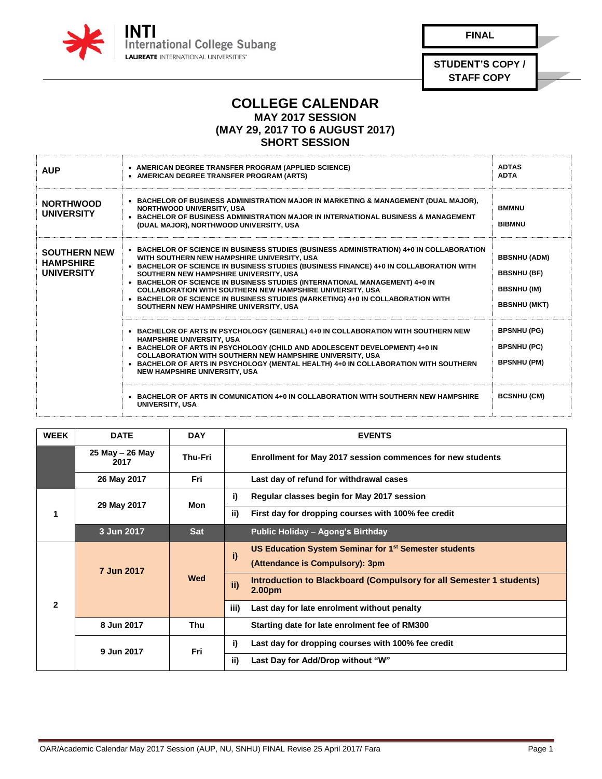

**FINAL**

**STUDENT'S COPY / STAFF COPY**

## **COLLEGE CALENDAR MAY 2017 SESSION (MAY 29, 2017 TO 6 AUGUST 2017)**

## **SHORT SESSION**

| <b>AUP</b>                                                   | • AMERICAN DEGREE TRANSFER PROGRAM (APPLIED SCIENCE)<br>• AMERICAN DEGREE TRANSFER PROGRAM (ARTS)                                                                                                                                                                                                                                                                                                                                                                                                                                                           | <b>ADTAS</b><br><b>ADTA</b>                                                            |
|--------------------------------------------------------------|-------------------------------------------------------------------------------------------------------------------------------------------------------------------------------------------------------------------------------------------------------------------------------------------------------------------------------------------------------------------------------------------------------------------------------------------------------------------------------------------------------------------------------------------------------------|----------------------------------------------------------------------------------------|
| <b>NORTHWOOD</b><br><b>UNIVERSITY</b>                        | • BACHELOR OF BUSINESS ADMINISTRATION MAJOR IN MARKETING & MANAGEMENT (DUAL MAJOR),<br><b>NORTHWOOD UNIVERSITY, USA</b><br>• BACHELOR OF BUSINESS ADMINISTRATION MAJOR IN INTERNATIONAL BUSINESS & MANAGEMENT<br>(DUAL MAJOR), NORTHWOOD UNIVERSITY, USA                                                                                                                                                                                                                                                                                                    | <b>BMMNU</b><br><b>BIBMNU</b>                                                          |
| <b>SOUTHERN NEW</b><br><b>HAMPSHIRE</b><br><b>UNIVERSITY</b> | • BACHELOR OF SCIENCE IN BUSINESS STUDIES (BUSINESS ADMINISTRATION) 4+0 IN COLLABORATION<br>WITH SOUTHERN NEW HAMPSHIRE UNIVERSITY, USA<br>• BACHELOR OF SCIENCE IN BUSINESS STUDIES (BUSINESS FINANCE) 4+0 IN COLLABORATION WITH<br>SOUTHERN NEW HAMPSHIRE UNIVERSITY, USA<br>• BACHELOR OF SCIENCE IN BUSINESS STUDIES (INTERNATIONAL MANAGEMENT) 4+0 IN<br><b>COLLABORATION WITH SOUTHERN NEW HAMPSHIRE UNIVERSITY, USA</b><br>• BACHELOR OF SCIENCE IN BUSINESS STUDIES (MARKETING) 4+0 IN COLLABORATION WITH<br>SOUTHERN NEW HAMPSHIRE UNIVERSITY, USA | <b>BBSNHU (ADM)</b><br><b>BBSNHU (BF)</b><br><b>BBSNHU (IM)</b><br><b>BBSNHU (MKT)</b> |
|                                                              | • BACHELOR OF ARTS IN PSYCHOLOGY (GENERAL) 4+0 IN COLLABORATION WITH SOUTHERN NEW<br><b>HAMPSHIRE UNIVERSITY, USA</b><br>• BACHELOR OF ARTS IN PSYCHOLOGY (CHILD AND ADOLESCENT DEVELOPMENT) 4+0 IN<br><b>COLLABORATION WITH SOUTHERN NEW HAMPSHIRE UNIVERSITY, USA</b><br>• BACHELOR OF ARTS IN PSYCHOLOGY (MENTAL HEALTH) 4+0 IN COLLABORATION WITH SOUTHERN<br><b>NEW HAMPSHIRE UNIVERSITY, USA</b>                                                                                                                                                      | <b>BPSNHU (PG)</b><br><b>BPSNHU (PC)</b><br><b>BPSNHU (PM)</b>                         |
|                                                              | $\bullet$ BACHELOR OF ARTS IN COMUNICATION 4+0 IN COLLABORATION WITH SOUTHERN NEW HAMPSHIRE<br><b>UNIVERSITY, USA</b>                                                                                                                                                                                                                                                                                                                                                                                                                                       | <b>BCSNHU (CM)</b>                                                                     |

| <b>WEEK</b>  | <b>DATE</b>                 | <b>DAY</b> | <b>EVENTS</b>                                                                                              |
|--------------|-----------------------------|------------|------------------------------------------------------------------------------------------------------------|
|              | $25$ May $- 26$ May<br>2017 | Thu-Fri    | <b>Enrollment for May 2017 session commences for new students</b>                                          |
|              | 26 May 2017                 | Fri        | Last day of refund for withdrawal cases                                                                    |
| 1            | 29 May 2017                 | Mon        | Regular classes begin for May 2017 session<br>i)                                                           |
|              |                             |            | ii)<br>First day for dropping courses with 100% fee credit                                                 |
|              | 3 Jun 2017                  | <b>Sat</b> | Public Holiday - Agong's Birthday                                                                          |
| $\mathbf{2}$ | 7 Jun 2017                  | <b>Wed</b> | US Education System Seminar for 1 <sup>st</sup> Semester students<br>i)<br>(Attendance is Compulsory): 3pm |
|              |                             |            | Introduction to Blackboard (Compulsory for all Semester 1 students)<br>ii)<br>2.00 <sub>pm</sub>           |
|              |                             |            | iii)<br>Last day for late enrolment without penalty                                                        |
|              | 8 Jun 2017                  | Thu        | Starting date for late enrolment fee of RM300                                                              |
|              | 9 Jun 2017                  | Fri        | Last day for dropping courses with 100% fee credit<br>i)                                                   |
|              |                             |            | ii)<br>Last Day for Add/Drop without "W"                                                                   |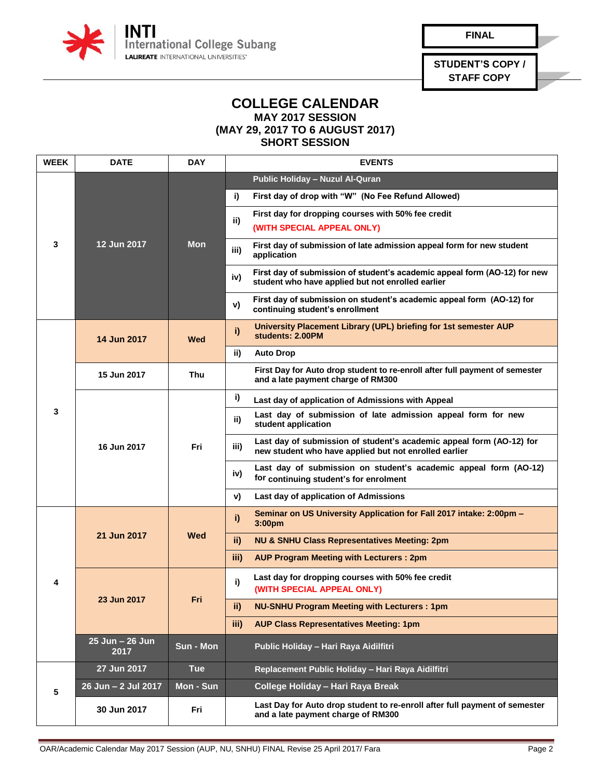

**FINAL**

**STUDENT'S COPY / STAFF COPY**

## **COLLEGE CALENDAR MAY 2017 SESSION (MAY 29, 2017 TO 6 AUGUST 2017)**

**SHORT SESSION**

| <b>WEEK</b> | <b>DATE</b>             | <b>DAY</b> | <b>EVENTS</b>                                                                                                                         |
|-------------|-------------------------|------------|---------------------------------------------------------------------------------------------------------------------------------------|
|             |                         | <b>Mon</b> | Public Holiday - Nuzul Al-Quran                                                                                                       |
|             |                         |            | i)<br>First day of drop with "W" (No Fee Refund Allowed)                                                                              |
|             |                         |            | First day for dropping courses with 50% fee credit<br>ii)                                                                             |
|             |                         |            | (WITH SPECIAL APPEAL ONLY)                                                                                                            |
| 3           | 12 Jun 2017             |            | First day of submission of late admission appeal form for new student<br>iii)<br>application                                          |
|             |                         |            | First day of submission of student's academic appeal form (AO-12) for new<br>iv)<br>student who have applied but not enrolled earlier |
|             |                         |            | First day of submission on student's academic appeal form (AO-12) for<br>v)<br>continuing student's enrollment                        |
|             | 14 Jun 2017             | Wed        | University Placement Library (UPL) briefing for 1st semester AUP<br>i)<br>students: 2.00PM                                            |
|             |                         |            | ii)<br><b>Auto Drop</b>                                                                                                               |
|             | 15 Jun 2017             | Thu        | First Day for Auto drop student to re-enroll after full payment of semester<br>and a late payment charge of RM300                     |
|             |                         | Fri        | i)<br>Last day of application of Admissions with Appeal                                                                               |
| 3           | 16 Jun 2017             |            | Last day of submission of late admission appeal form for new<br>ii)<br>student application                                            |
|             |                         |            | Last day of submission of student's academic appeal form (AO-12) for<br>iii)<br>new student who have applied but not enrolled earlier |
|             |                         |            | Last day of submission on student's academic appeal form (AO-12)<br>iv)<br>for continuing student's for enrolment                     |
|             |                         |            | Last day of application of Admissions<br>v)                                                                                           |
| 4           | 21 Jun 2017             | Wed        | Seminar on US University Application for Fall 2017 intake: 2:00pm -<br>i)<br>3:00pm                                                   |
|             |                         |            | ii)<br><b>NU &amp; SNHU Class Representatives Meeting: 2pm</b>                                                                        |
|             |                         |            | iii)<br><b>AUP Program Meeting with Lecturers: 2pm</b>                                                                                |
|             | 23 Jun 2017             | Fri        | Last day for dropping courses with 50% fee credit<br>i)<br>(WITH SPECIAL APPEAL ONLY)                                                 |
|             |                         |            | <b>NU-SNHU Program Meeting with Lecturers: 1pm</b><br>ii)                                                                             |
|             |                         |            | iii)<br><b>AUP Class Representatives Meeting: 1pm</b>                                                                                 |
|             | 25 Jun - 26 Jun<br>2017 | Sun - Mon  | Public Holiday - Hari Raya Aidilfitri                                                                                                 |
| 5           | 27 Jun 2017             | <b>Tue</b> | Replacement Public Holiday - Hari Raya Aidilfitri                                                                                     |
|             | 26 Jun - 2 Jul 2017     | Mon - Sun  | College Holiday - Hari Raya Break                                                                                                     |
|             | 30 Jun 2017             | Fri        | Last Day for Auto drop student to re-enroll after full payment of semester<br>and a late payment charge of RM300                      |